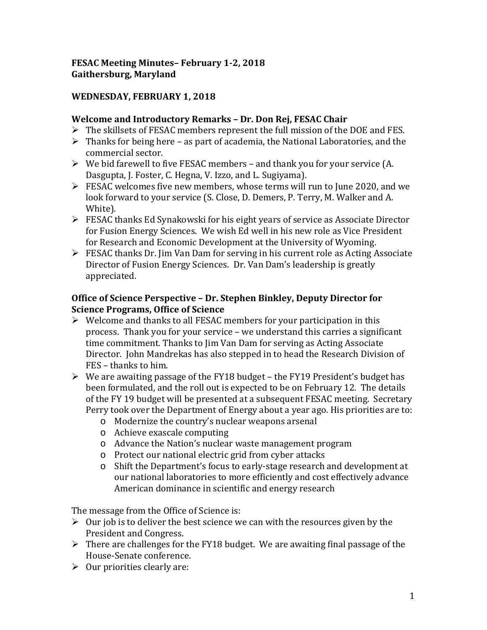### **FESAC Meeting Minutes– February 1-2, 2018 Gaithersburg, Maryland**

### **WEDNESDAY, FEBRUARY 1, 2018**

#### **Welcome and Introductory Remarks – Dr. Don Rej, FESAC Chair**

- $\triangleright$  The skillsets of FESAC members represent the full mission of the DOE and FES.
- $\triangleright$  Thanks for being here as part of academia, the National Laboratories, and the commercial sector.
- $\triangleright$  We bid farewell to five FESAC members and thank you for your service (A. Dasgupta, J. Foster, C. Hegna, V. Izzo, and L. Sugiyama).
- $\triangleright$  FESAC welcomes five new members, whose terms will run to June 2020, and we look forward to your service (S. Close, D. Demers, P. Terry, M. Walker and A. White).
- FESAC thanks Ed Synakowski for his eight years of service as Associate Director for Fusion Energy Sciences. We wish Ed well in his new role as Vice President for Research and Economic Development at the University of Wyoming.
- FESAC thanks Dr. Jim Van Dam for serving in his current role as Acting Associate Director of Fusion Energy Sciences. Dr. Van Dam's leadership is greatly appreciated.

#### **Office of Science Perspective – Dr. Stephen Binkley, Deputy Director for Science Programs, Office of Science**

- $\triangleright$  Welcome and thanks to all FESAC members for your participation in this process. Thank you for your service – we understand this carries a significant time commitment. Thanks to Jim Van Dam for serving as Acting Associate Director. John Mandrekas has also stepped in to head the Research Division of FES – thanks to him.
- $\triangleright$  We are awaiting passage of the FY18 budget the FY19 President's budget has been formulated, and the roll out is expected to be on February 12. The details of the FY 19 budget will be presented at a subsequent FESAC meeting. Secretary Perry took over the Department of Energy about a year ago. His priorities are to:
	- o Modernize the country's nuclear weapons arsenal
	- o Achieve exascale computing
	- o Advance the Nation's nuclear waste management program
	- o Protect our national electric grid from cyber attacks
	- o Shift the Department's focus to early-stage research and development at our national laboratories to more efficiently and cost effectively advance American dominance in scientific and energy research

The message from the Office of Science is:

- $\triangleright$  0ur job is to deliver the best science we can with the resources given by the President and Congress.
- $\triangleright$  There are challenges for the FY18 budget. We are awaiting final passage of the House-Senate conference.
- $\triangleright$  Our priorities clearly are: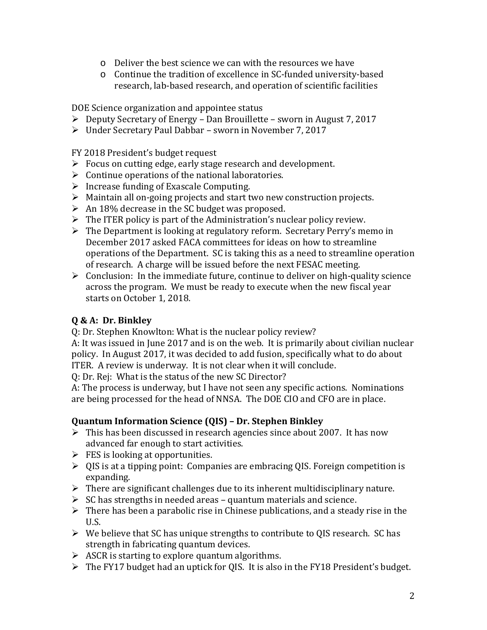- o Deliver the best science we can with the resources we have
- o Continue the tradition of excellence in SC-funded university-based research, lab-based research, and operation of scientific facilities

DOE Science organization and appointee status

- $\triangleright$  Deputy Secretary of Energy Dan Brouillette sworn in August 7, 2017
- Under Secretary Paul Dabbar sworn in November 7, 2017

FY 2018 President's budget request

- $\triangleright$  Focus on cutting edge, early stage research and development.
- $\triangleright$  Continue operations of the national laboratories.
- $\triangleright$  Increase funding of Exascale Computing.
- $\triangleright$  Maintain all on-going projects and start two new construction projects.
- $\triangleright$  An 18% decrease in the SC budget was proposed.
- $\triangleright$  The ITER policy is part of the Administration's nuclear policy review.
- $\triangleright$  The Department is looking at regulatory reform. Secretary Perry's memo in December 2017 asked FACA committees for ideas on how to streamline operations of the Department. SC is taking this as a need to streamline operation of research. A charge will be issued before the next FESAC meeting.
- $\triangleright$  Conclusion: In the immediate future, continue to deliver on high-quality science across the program. We must be ready to execute when the new fiscal year starts on October 1, 2018.

# **Q & A: Dr. Binkley**

Q: Dr. Stephen Knowlton: What is the nuclear policy review?

A: It was issued in June 2017 and is on the web. It is primarily about civilian nuclear policy. In August 2017, it was decided to add fusion, specifically what to do about ITER. A review is underway. It is not clear when it will conclude.

Q: Dr. Rej: What is the status of the new SC Director?

A: The process is underway, but I have not seen any specific actions. Nominations are being processed for the head of NNSA. The DOE CIO and CFO are in place.

### **Quantum Information Science (QIS) – Dr. Stephen Binkley**

- $\triangleright$  This has been discussed in research agencies since about 2007. It has now advanced far enough to start activities.
- $\triangleright$  FES is looking at opportunities.
- $\triangleright$  QIS is at a tipping point: Companies are embracing QIS. Foreign competition is expanding.
- $\triangleright$  There are significant challenges due to its inherent multidisciplinary nature.
- $\triangleright$  SC has strengths in needed areas quantum materials and science.
- $\triangleright$  There has been a parabolic rise in Chinese publications, and a steady rise in the U.S.
- $\triangleright$  We believe that SC has unique strengths to contribute to QIS research. SC has strength in fabricating quantum devices.
- $\triangleright$  ASCR is starting to explore quantum algorithms.
- $\triangleright$  The FY17 budget had an uptick for QIS. It is also in the FY18 President's budget.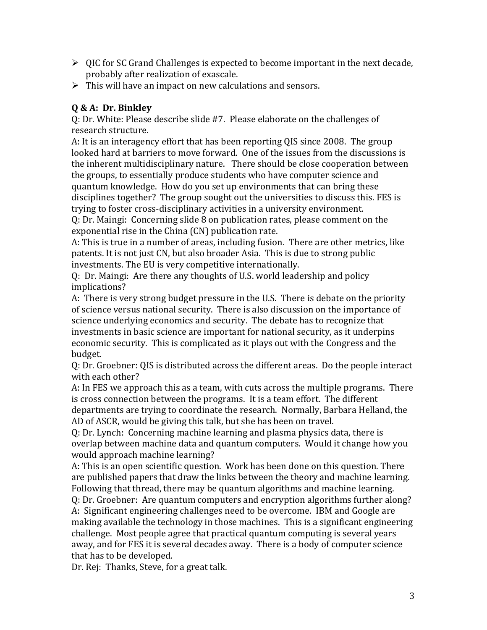- $\triangleright$  QIC for SC Grand Challenges is expected to become important in the next decade, probably after realization of exascale.
- $\triangleright$  This will have an impact on new calculations and sensors.

## **Q & A: Dr. Binkley**

Q: Dr. White: Please describe slide #7. Please elaborate on the challenges of research structure.

A: It is an interagency effort that has been reporting QIS since 2008. The group looked hard at barriers to move forward. One of the issues from the discussions is the inherent multidisciplinary nature. There should be close cooperation between the groups, to essentially produce students who have computer science and quantum knowledge. How do you set up environments that can bring these disciplines together? The group sought out the universities to discuss this. FES is trying to foster cross-disciplinary activities in a university environment.

Q: Dr. Maingi: Concerning slide 8 on publication rates, please comment on the exponential rise in the China (CN) publication rate.

A: This is true in a number of areas, including fusion. There are other metrics, like patents. It is not just CN, but also broader Asia. This is due to strong public investments. The EU is very competitive internationally.

Q: Dr. Maingi: Are there any thoughts of U.S. world leadership and policy implications?

A: There is very strong budget pressure in the U.S. There is debate on the priority of science versus national security. There is also discussion on the importance of science underlying economics and security. The debate has to recognize that investments in basic science are important for national security, as it underpins economic security. This is complicated as it plays out with the Congress and the budget.

Q: Dr. Groebner: QIS is distributed across the different areas. Do the people interact with each other?

A: In FES we approach this as a team, with cuts across the multiple programs. There is cross connection between the programs. It is a team effort. The different departments are trying to coordinate the research. Normally, Barbara Helland, the AD of ASCR, would be giving this talk, but she has been on travel.

Q: Dr. Lynch: Concerning machine learning and plasma physics data, there is overlap between machine data and quantum computers. Would it change how you would approach machine learning?

A: This is an open scientific question. Work has been done on this question. There are published papers that draw the links between the theory and machine learning. Following that thread, there may be quantum algorithms and machine learning.

Q: Dr. Groebner: Are quantum computers and encryption algorithms further along? A: Significant engineering challenges need to be overcome. IBM and Google are making available the technology in those machines. This is a significant engineering challenge. Most people agree that practical quantum computing is several years away, and for FES it is several decades away. There is a body of computer science that has to be developed.

Dr. Rej: Thanks, Steve, for a great talk.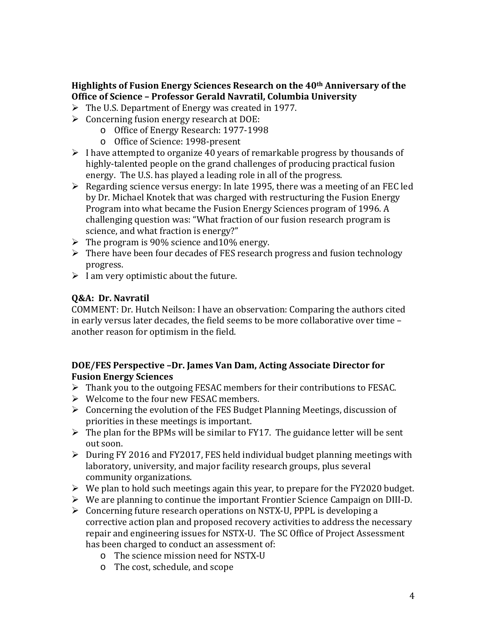## **Highlights of Fusion Energy Sciences Research on the 40th Anniversary of the Office of Science – Professor Gerald Navratil, Columbia University**

- The U.S. Department of Energy was created in 1977.
- $\triangleright$  Concerning fusion energy research at DOE:
	- o Office of Energy Research: 1977-1998
	- o Office of Science: 1998-present
- $\triangleright$  I have attempted to organize 40 years of remarkable progress by thousands of highly-talented people on the grand challenges of producing practical fusion energy. The U.S. has played a leading role in all of the progress.
- $\triangleright$  Regarding science versus energy: In late 1995, there was a meeting of an FEC led by Dr. Michael Knotek that was charged with restructuring the Fusion Energy Program into what became the Fusion Energy Sciences program of 1996. A challenging question was: "What fraction of our fusion research program is science, and what fraction is energy?"
- $\triangleright$  The program is 90% science and 10% energy.
- $\triangleright$  There have been four decades of FES research progress and fusion technology progress.
- $\triangleright$  I am very optimistic about the future.

### **Q&A: Dr. Navratil**

COMMENT: Dr. Hutch Neilson: I have an observation: Comparing the authors cited in early versus later decades, the field seems to be more collaborative over time – another reason for optimism in the field.

#### **DOE/FES Perspective –Dr. James Van Dam, Acting Associate Director for Fusion Energy Sciences**

- $\triangleright$  Thank you to the outgoing FESAC members for their contributions to FESAC.
- Welcome to the four new FESAC members.
- $\triangleright$  Concerning the evolution of the FES Budget Planning Meetings, discussion of priorities in these meetings is important.
- $\triangleright$  The plan for the BPMs will be similar to FY17. The guidance letter will be sent out soon.
- $\triangleright$  During FY 2016 and FY2017, FES held individual budget planning meetings with laboratory, university, and major facility research groups, plus several community organizations.
- $\triangleright$  We plan to hold such meetings again this year, to prepare for the FY2020 budget.
- We are planning to continue the important Frontier Science Campaign on DIII-D.
- Concerning future research operations on NSTX-U, PPPL is developing a corrective action plan and proposed recovery activities to address the necessary repair and engineering issues for NSTX-U. The SC Office of Project Assessment has been charged to conduct an assessment of:
	- o The science mission need for NSTX-U
	- o The cost, schedule, and scope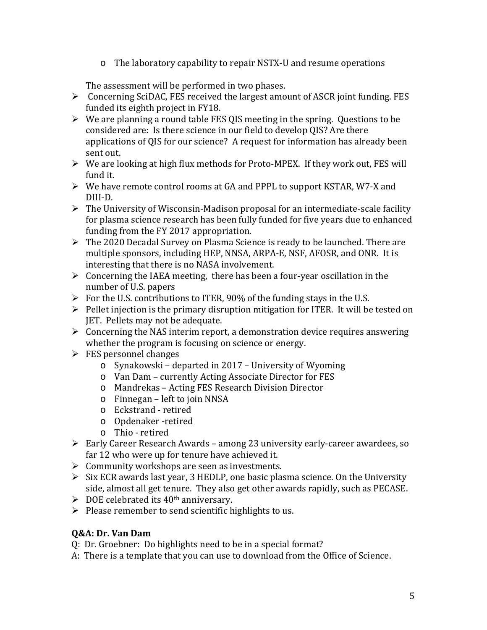o The laboratory capability to repair NSTX-U and resume operations

The assessment will be performed in two phases.

- Concerning SciDAC, FES received the largest amount of ASCR joint funding. FES funded its eighth project in FY18.
- $\triangleright$  We are planning a round table FES QIS meeting in the spring. Questions to be considered are: Is there science in our field to develop QIS? Are there applications of QIS for our science? A request for information has already been sent out.
- $\triangleright$  We are looking at high flux methods for Proto-MPEX. If they work out, FES will fund it.
- $\triangleright$  We have remote control rooms at GA and PPPL to support KSTAR, W7-X and DIII-D.
- $\triangleright$  The University of Wisconsin-Madison proposal for an intermediate-scale facility for plasma science research has been fully funded for five years due to enhanced funding from the FY 2017 appropriation.
- The 2020 Decadal Survey on Plasma Science is ready to be launched. There are multiple sponsors, including HEP, NNSA, ARPA-E, NSF, AFOSR, and ONR. It is interesting that there is no NASA involvement.
- $\triangleright$  Concerning the IAEA meeting, there has been a four-year oscillation in the number of U.S. papers
- $\triangleright$  For the U.S. contributions to ITER, 90% of the funding stays in the U.S.
- $\triangleright$  Pellet injection is the primary disruption mitigation for ITER. It will be tested on JET. Pellets may not be adequate.
- $\triangleright$  Concerning the NAS interim report, a demonstration device requires answering whether the program is focusing on science or energy.
- $\triangleright$  FES personnel changes
	- o Synakowski departed in 2017 University of Wyoming
	- o Van Dam currently Acting Associate Director for FES
	- o Mandrekas Acting FES Research Division Director
	- o Finnegan left to join NNSA
	- o Eckstrand retired
	- o Opdenaker -retired
	- o Thio retired
- Early Career Research Awards among 23 university early-career awardees, so far 12 who were up for tenure have achieved it.
- $\triangleright$  Community workshops are seen as investments.
- $\triangleright$  Six ECR awards last year, 3 HEDLP, one basic plasma science. On the University side, almost all get tenure. They also get other awards rapidly, such as PECASE.
- $\triangleright$  DOE celebrated its 40<sup>th</sup> anniversary.
- $\triangleright$  Please remember to send scientific highlights to us.

# **Q&A: Dr. Van Dam**

Q: Dr. Groebner: Do highlights need to be in a special format?

A: There is a template that you can use to download from the Office of Science.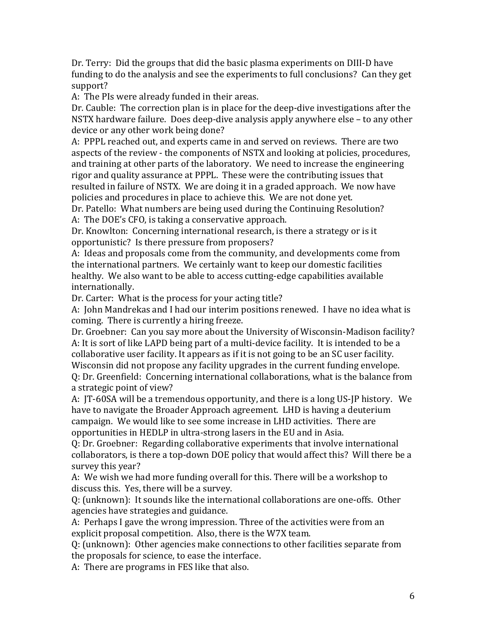Dr. Terry: Did the groups that did the basic plasma experiments on DIII-D have funding to do the analysis and see the experiments to full conclusions? Can they get support?

A: The PIs were already funded in their areas.

Dr. Cauble: The correction plan is in place for the deep-dive investigations after the NSTX hardware failure. Does deep-dive analysis apply anywhere else – to any other device or any other work being done?

A: PPPL reached out, and experts came in and served on reviews. There are two aspects of the review - the components of NSTX and looking at policies, procedures, and training at other parts of the laboratory. We need to increase the engineering rigor and quality assurance at PPPL. These were the contributing issues that resulted in failure of NSTX. We are doing it in a graded approach. We now have policies and procedures in place to achieve this. We are not done yet.

Dr. Patello: What numbers are being used during the Continuing Resolution? A: The DOE's CFO, is taking a conservative approach.

Dr. Knowlton: Concerning international research, is there a strategy or is it opportunistic? Is there pressure from proposers?

A: Ideas and proposals come from the community, and developments come from the international partners. We certainly want to keep our domestic facilities healthy. We also want to be able to access cutting-edge capabilities available internationally.

Dr. Carter: What is the process for your acting title?

A: John Mandrekas and I had our interim positions renewed. I have no idea what is coming. There is currently a hiring freeze.

Dr. Groebner: Can you say more about the University of Wisconsin-Madison facility? A: It is sort of like LAPD being part of a multi-device facility. It is intended to be a collaborative user facility. It appears as if it is not going to be an SC user facility. Wisconsin did not propose any facility upgrades in the current funding envelope.

Q: Dr. Greenfield: Concerning international collaborations, what is the balance from a strategic point of view?

A: JT-60SA will be a tremendous opportunity, and there is a long US-JP history. We have to navigate the Broader Approach agreement. LHD is having a deuterium campaign. We would like to see some increase in LHD activities. There are opportunities in HEDLP in ultra-strong lasers in the EU and in Asia.

Q: Dr. Groebner: Regarding collaborative experiments that involve international collaborators, is there a top-down DOE policy that would affect this? Will there be a survey this year?

A: We wish we had more funding overall for this. There will be a workshop to discuss this. Yes, there will be a survey.

Q: (unknown): It sounds like the international collaborations are one-offs. Other agencies have strategies and guidance.

A: Perhaps I gave the wrong impression. Three of the activities were from an explicit proposal competition. Also, there is the W7X team.

Q: (unknown): Other agencies make connections to other facilities separate from the proposals for science, to ease the interface.

A: There are programs in FES like that also.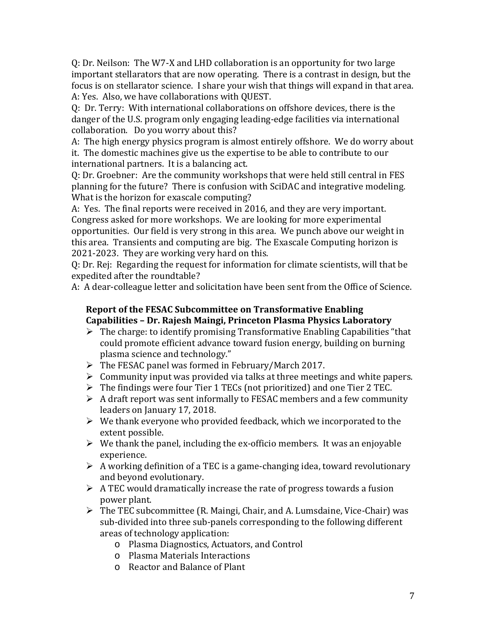Q: Dr. Neilson: The W7-X and LHD collaboration is an opportunity for two large important stellarators that are now operating. There is a contrast in design, but the focus is on stellarator science. I share your wish that things will expand in that area. A: Yes. Also, we have collaborations with QUEST.

Q: Dr. Terry: With international collaborations on offshore devices, there is the danger of the U.S. program only engaging leading-edge facilities via international collaboration. Do you worry about this?

A: The high energy physics program is almost entirely offshore. We do worry about it. The domestic machines give us the expertise to be able to contribute to our international partners. It is a balancing act.

Q: Dr. Groebner: Are the community workshops that were held still central in FES planning for the future? There is confusion with SciDAC and integrative modeling. What is the horizon for exascale computing?

A: Yes. The final reports were received in 2016, and they are very important. Congress asked for more workshops. We are looking for more experimental opportunities. Our field is very strong in this area. We punch above our weight in this area. Transients and computing are big. The Exascale Computing horizon is 2021-2023. They are working very hard on this.

Q: Dr. Rej: Regarding the request for information for climate scientists, will that be expedited after the roundtable?

A: A dear-colleague letter and solicitation have been sent from the Office of Science.

#### **Report of the FESAC Subcommittee on Transformative Enabling Capabilities – Dr. Rajesh Maingi, Princeton Plasma Physics Laboratory**

- $\triangleright$  The charge: to identify promising Transformative Enabling Capabilities "that could promote efficient advance toward fusion energy, building on burning plasma science and technology."
- $\triangleright$  The FESAC panel was formed in February/March 2017.
- $\triangleright$  Community input was provided via talks at three meetings and white papers.
- $\triangleright$  The findings were four Tier 1 TECs (not prioritized) and one Tier 2 TEC.
- $\triangleright$  A draft report was sent informally to FESAC members and a few community leaders on January 17, 2018.
- $\triangleright$  We thank everyone who provided feedback, which we incorporated to the extent possible.
- $\triangleright$  We thank the panel, including the ex-officio members. It was an enjoyable experience.
- $\triangleright$  A working definition of a TEC is a game-changing idea, toward revolutionary and beyond evolutionary.
- $\triangleright$  A TEC would dramatically increase the rate of progress towards a fusion power plant.
- $\triangleright$  The TEC subcommittee (R. Maingi, Chair, and A. Lumsdaine, Vice-Chair) was sub-divided into three sub-panels corresponding to the following different areas of technology application:
	- o Plasma Diagnostics, Actuators, and Control
	- o Plasma Materials Interactions
	- o Reactor and Balance of Plant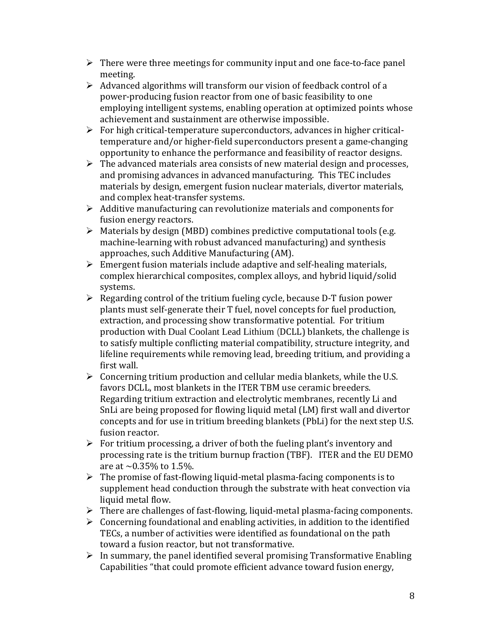- $\triangleright$  There were three meetings for community input and one face-to-face panel meeting.
- $\triangleright$  Advanced algorithms will transform our vision of feedback control of a power-producing fusion reactor from one of basic feasibility to one employing intelligent systems, enabling operation at optimized points whose achievement and sustainment are otherwise impossible.
- $\triangleright$  For high critical-temperature superconductors, advances in higher criticaltemperature and/or higher-field superconductors present a game-changing opportunity to enhance the performance and feasibility of reactor designs.
- $\triangleright$  The advanced materials area consists of new material design and processes, and promising advances in advanced manufacturing. This TEC includes materials by design, emergent fusion nuclear materials, divertor materials, and complex heat-transfer systems.
- $\triangleright$  Additive manufacturing can revolutionize materials and components for fusion energy reactors.
- $\triangleright$  Materials by design (MBD) combines predictive computational tools (e.g. machine-learning with robust advanced manufacturing) and synthesis approaches, such Additive Manufacturing (AM).
- $\triangleright$  Emergent fusion materials include adaptive and self-healing materials, complex hierarchical composites, complex alloys, and hybrid liquid/solid systems.
- $\triangleright$  Regarding control of the tritium fueling cycle, because D-T fusion power plants must self-generate their T fuel, novel concepts for fuel production, extraction, and processing show transformative potential. For tritium production with Dual Coolant Lead Lithium (DCLL) blankets, the challenge is to satisfy multiple conflicting material compatibility, structure integrity, and lifeline requirements while removing lead, breeding tritium, and providing a first wall.
- $\triangleright$  Concerning tritium production and cellular media blankets, while the U.S. favors DCLL, most blankets in the ITER TBM use ceramic breeders. Regarding tritium extraction and electrolytic membranes, recently Li and SnLi are being proposed for flowing liquid metal (LM) first wall and divertor concepts and for use in tritium breeding blankets (PbLi) for the next step U.S. fusion reactor.
- $\triangleright$  For tritium processing, a driver of both the fueling plant's inventory and processing rate is the tritium burnup fraction (TBF). ITER and the EU DEMO are at  $\sim 0.35\%$  to 1.5%.
- $\triangleright$  The promise of fast-flowing liquid-metal plasma-facing components is to supplement head conduction through the substrate with heat convection via liquid metal flow.
- $\triangleright$  There are challenges of fast-flowing, liquid-metal plasma-facing components.
- $\triangleright$  Concerning foundational and enabling activities, in addition to the identified TECs, a number of activities were identified as foundational on the path toward a fusion reactor, but not transformative.
- $\triangleright$  In summary, the panel identified several promising Transformative Enabling Capabilities "that could promote efficient advance toward fusion energy,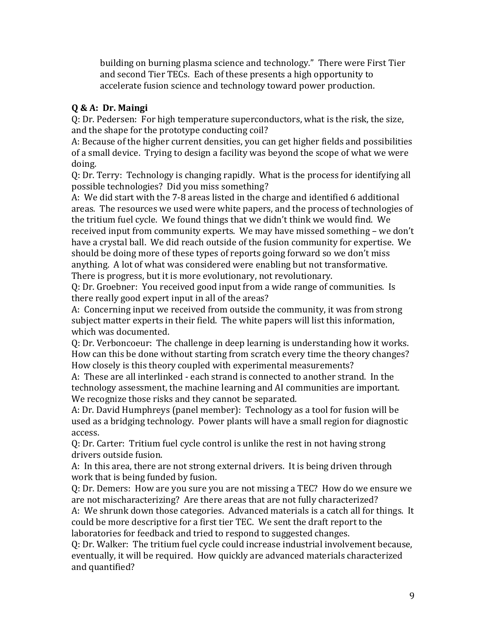building on burning plasma science and technology." There were First Tier and second Tier TECs. Each of these presents a high opportunity to accelerate fusion science and technology toward power production.

# **Q & A: Dr. Maingi**

Q: Dr. Pedersen: For high temperature superconductors, what is the risk, the size, and the shape for the prototype conducting coil?

A: Because of the higher current densities, you can get higher fields and possibilities of a small device. Trying to design a facility was beyond the scope of what we were doing.

Q: Dr. Terry: Technology is changing rapidly. What is the process for identifying all possible technologies? Did you miss something?

A: We did start with the 7-8 areas listed in the charge and identified 6 additional areas. The resources we used were white papers, and the process of technologies of the tritium fuel cycle. We found things that we didn't think we would find. We received input from community experts. We may have missed something – we don't have a crystal ball. We did reach outside of the fusion community for expertise. We should be doing more of these types of reports going forward so we don't miss anything. A lot of what was considered were enabling but not transformative. There is progress, but it is more evolutionary, not revolutionary.

Q: Dr. Groebner: You received good input from a wide range of communities. Is there really good expert input in all of the areas?

A: Concerning input we received from outside the community, it was from strong subject matter experts in their field. The white papers will list this information, which was documented.

Q: Dr. Verboncoeur: The challenge in deep learning is understanding how it works. How can this be done without starting from scratch every time the theory changes? How closely is this theory coupled with experimental measurements?

A: These are all interlinked - each strand is connected to another strand. In the technology assessment, the machine learning and AI communities are important. We recognize those risks and they cannot be separated.

A: Dr. David Humphreys (panel member): Technology as a tool for fusion will be used as a bridging technology. Power plants will have a small region for diagnostic access.

Q: Dr. Carter: Tritium fuel cycle control is unlike the rest in not having strong drivers outside fusion.

A: In this area, there are not strong external drivers. It is being driven through work that is being funded by fusion.

Q: Dr. Demers: How are you sure you are not missing a TEC? How do we ensure we are not mischaracterizing? Are there areas that are not fully characterized? A: We shrunk down those categories. Advanced materials is a catch all for things. It could be more descriptive for a first tier TEC. We sent the draft report to the

laboratories for feedback and tried to respond to suggested changes.

Q: Dr. Walker: The tritium fuel cycle could increase industrial involvement because, eventually, it will be required. How quickly are advanced materials characterized and quantified?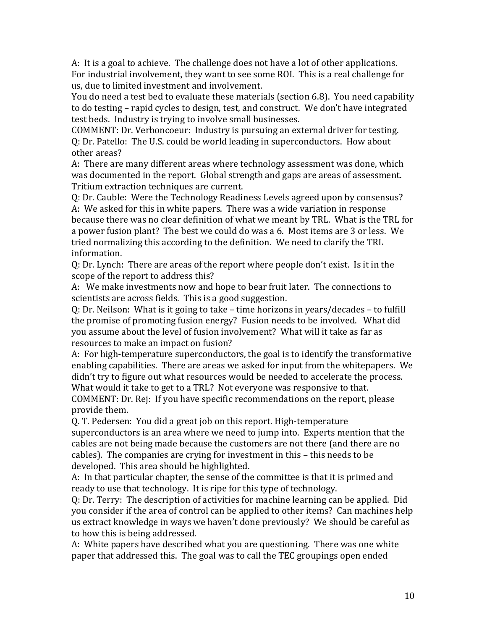A: It is a goal to achieve. The challenge does not have a lot of other applications. For industrial involvement, they want to see some ROI. This is a real challenge for us, due to limited investment and involvement.

You do need a test bed to evaluate these materials (section 6.8). You need capability to do testing – rapid cycles to design, test, and construct. We don't have integrated test beds. Industry is trying to involve small businesses.

COMMENT: Dr. Verboncoeur: Industry is pursuing an external driver for testing. Q: Dr. Patello: The U.S. could be world leading in superconductors. How about other areas?

A: There are many different areas where technology assessment was done, which was documented in the report. Global strength and gaps are areas of assessment. Tritium extraction techniques are current.

Q: Dr. Cauble: Were the Technology Readiness Levels agreed upon by consensus? A: We asked for this in white papers. There was a wide variation in response because there was no clear definition of what we meant by TRL. What is the TRL for a power fusion plant? The best we could do was a 6. Most items are 3 or less. We tried normalizing this according to the definition. We need to clarify the TRL information.

Q: Dr. Lynch: There are areas of the report where people don't exist. Is it in the scope of the report to address this?

A: We make investments now and hope to bear fruit later. The connections to scientists are across fields. This is a good suggestion.

Q: Dr. Neilson: What is it going to take – time horizons in years/decades – to fulfill the promise of promoting fusion energy? Fusion needs to be involved. What did you assume about the level of fusion involvement? What will it take as far as resources to make an impact on fusion?

A: For high-temperature superconductors, the goal is to identify the transformative enabling capabilities. There are areas we asked for input from the whitepapers. We didn't try to figure out what resources would be needed to accelerate the process. What would it take to get to a TRL? Not everyone was responsive to that. COMMENT: Dr. Rej: If you have specific recommendations on the report, please

provide them.

Q. T. Pedersen: You did a great job on this report. High-temperature superconductors is an area where we need to jump into. Experts mention that the cables are not being made because the customers are not there (and there are no cables). The companies are crying for investment in this – this needs to be developed. This area should be highlighted.

A: In that particular chapter, the sense of the committee is that it is primed and ready to use that technology. It is ripe for this type of technology.

Q: Dr. Terry: The description of activities for machine learning can be applied. Did you consider if the area of control can be applied to other items? Can machines help us extract knowledge in ways we haven't done previously? We should be careful as to how this is being addressed.

A: White papers have described what you are questioning. There was one white paper that addressed this. The goal was to call the TEC groupings open ended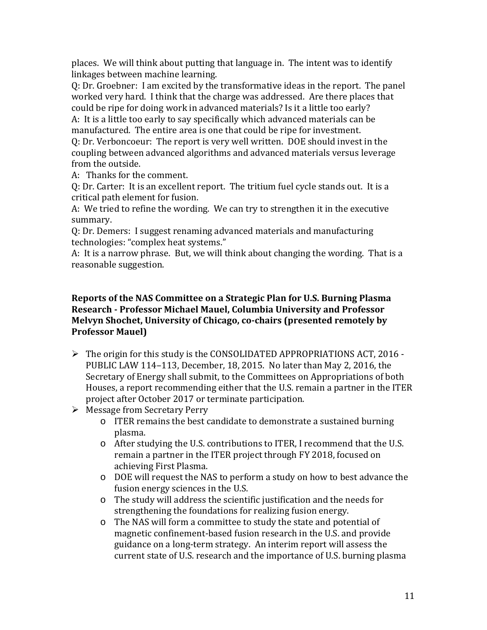places. We will think about putting that language in. The intent was to identify linkages between machine learning.

Q: Dr. Groebner: I am excited by the transformative ideas in the report. The panel worked very hard. I think that the charge was addressed. Are there places that could be ripe for doing work in advanced materials? Is it a little too early?

A: It is a little too early to say specifically which advanced materials can be manufactured. The entire area is one that could be ripe for investment.

Q: Dr. Verboncoeur: The report is very well written. DOE should invest in the coupling between advanced algorithms and advanced materials versus leverage from the outside.

A: Thanks for the comment.

Q: Dr. Carter: It is an excellent report. The tritium fuel cycle stands out. It is a critical path element for fusion.

A: We tried to refine the wording. We can try to strengthen it in the executive summary.

Q: Dr. Demers: I suggest renaming advanced materials and manufacturing technologies: "complex heat systems."

A: It is a narrow phrase. But, we will think about changing the wording. That is a reasonable suggestion.

#### **Reports of the NAS Committee on a Strategic Plan for U.S. Burning Plasma Research - Professor Michael Mauel, Columbia University and Professor Melvyn Shochet, University of Chicago, co-chairs (presented remotely by Professor Mauel)**

- $\triangleright$  The origin for this study is the CONSOLIDATED APPROPRIATIONS ACT, 2016 -PUBLIC LAW 114–113, December, 18, 2015. No later than May 2, 2016, the Secretary of Energy shall submit, to the Committees on Appropriations of both Houses, a report recommending either that the U.S. remain a partner in the ITER project after October 2017 or terminate participation.
- $\triangleright$  Message from Secretary Perry
	- o ITER remains the best candidate to demonstrate a sustained burning plasma.
	- o After studying the U.S. contributions to ITER, I recommend that the U.S. remain a partner in the ITER project through FY 2018, focused on achieving First Plasma.
	- o DOE will request the NAS to perform a study on how to best advance the fusion energy sciences in the U.S.
	- o The study will address the scientific justification and the needs for strengthening the foundations for realizing fusion energy.
	- o The NAS will form a committee to study the state and potential of magnetic confinement-based fusion research in the U.S. and provide guidance on a long-term strategy. An interim report will assess the current state of U.S. research and the importance of U.S. burning plasma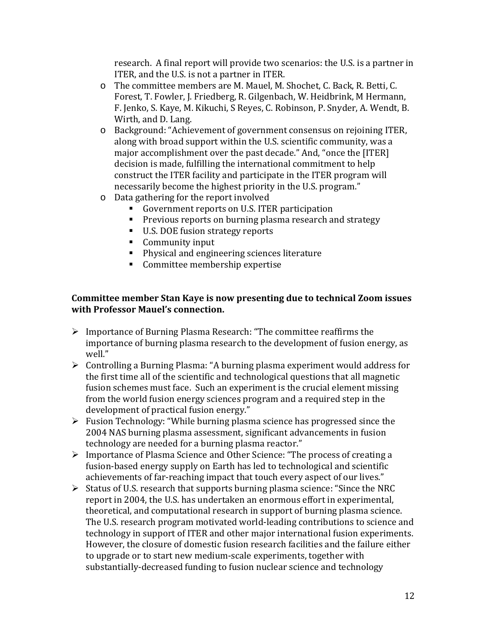research. A final report will provide two scenarios: the U.S. is a partner in ITER, and the U.S. is not a partner in ITER.

- o The committee members are M. Mauel, M. Shochet, C. Back, R. Betti, C. Forest, T. Fowler, J. Friedberg, R. Gilgenbach, W. Heidbrink, M Hermann, F. Jenko, S. Kaye, M. Kikuchi, S Reyes, C. Robinson, P. Snyder, A. Wendt, B. Wirth, and D. Lang.
- o Background: "Achievement of government consensus on rejoining ITER, along with broad support within the U.S. scientific community, was a major accomplishment over the past decade." And, "once the [ITER] decision is made, fulfilling the international commitment to help construct the ITER facility and participate in the ITER program will necessarily become the highest priority in the U.S. program."
- o Data gathering for the report involved
	- Government reports on U.S. ITER participation
	- **Previous reports on burning plasma research and strategy**
	- U.S. DOE fusion strategy reports
	- **Community input**
	- **Physical and engineering sciences literature**
	- **Committee membership expertise**

### **Committee member Stan Kaye is now presenting due to technical Zoom issues with Professor Mauel's connection.**

- $\triangleright$  Importance of Burning Plasma Research: "The committee reaffirms the importance of burning plasma research to the development of fusion energy, as well."
- Controlling a Burning Plasma: "A burning plasma experiment would address for the first time all of the scientific and technological questions that all magnetic fusion schemes must face. Such an experiment is the crucial element missing from the world fusion energy sciences program and a required step in the development of practical fusion energy."
- $\triangleright$  Fusion Technology: "While burning plasma science has progressed since the 2004 NAS burning plasma assessment, significant advancements in fusion technology are needed for a burning plasma reactor."
- $\triangleright$  Importance of Plasma Science and Other Science: "The process of creating a fusion-based energy supply on Earth has led to technological and scientific achievements of far-reaching impact that touch every aspect of our lives."
- $\triangleright$  Status of U.S. research that supports burning plasma science: "Since the NRC report in 2004, the U.S. has undertaken an enormous effort in experimental, theoretical, and computational research in support of burning plasma science. The U.S. research program motivated world-leading contributions to science and technology in support of ITER and other major international fusion experiments. However, the closure of domestic fusion research facilities and the failure either to upgrade or to start new medium-scale experiments, together with substantially-decreased funding to fusion nuclear science and technology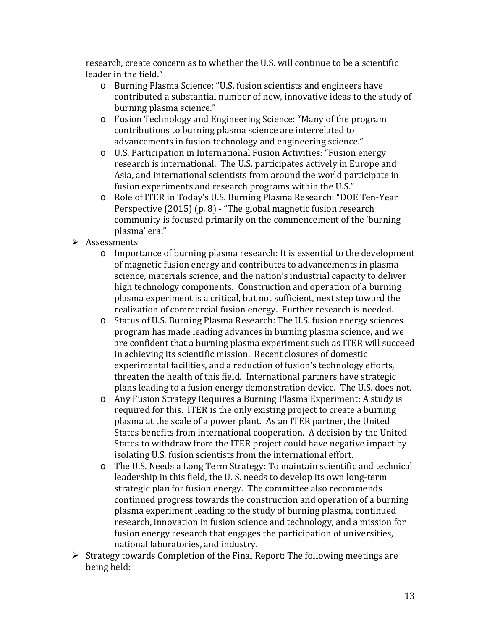research, create concern as to whether the U.S. will continue to be a scientific leader in the field."

- o Burning Plasma Science: "U.S. fusion scientists and engineers have contributed a substantial number of new, innovative ideas to the study of burning plasma science."
- o Fusion Technology and Engineering Science: "Many of the program contributions to burning plasma science are interrelated to advancements in fusion technology and engineering science."
- o U.S. Participation in International Fusion Activities: "Fusion energy research is international. The U.S. participates actively in Europe and Asia, and international scientists from around the world participate in fusion experiments and research programs within the U.S."
- o Role of ITER in Today's U.S. Burning Plasma Research: "DOE Ten-Year Perspective (2015) (p. 8) - "The global magnetic fusion research community is focused primarily on the commencement of the 'burning plasma' era."
- $\triangleright$  Assessments
	- o Importance of burning plasma research: It is essential to the development of magnetic fusion energy and contributes to advancements in plasma science, materials science, and the nation's industrial capacity to deliver high technology components. Construction and operation of a burning plasma experiment is a critical, but not sufficient, next step toward the realization of commercial fusion energy. Further research is needed.
	- o Status of U.S. Burning Plasma Research: The U.S. fusion energy sciences program has made leading advances in burning plasma science, and we are confident that a burning plasma experiment such as ITER will succeed in achieving its scientific mission. Recent closures of domestic experimental facilities, and a reduction of fusion's technology efforts, threaten the health of this field. International partners have strategic plans leading to a fusion energy demonstration device. The U.S. does not.
	- o Any Fusion Strategy Requires a Burning Plasma Experiment: A study is required for this. ITER is the only existing project to create a burning plasma at the scale of a power plant. As an ITER partner, the United States benefits from international cooperation. A decision by the United States to withdraw from the ITER project could have negative impact by isolating U.S. fusion scientists from the international effort.
	- o The U.S. Needs a Long Term Strategy: To maintain scientific and technical leadership in this field, the U. S. needs to develop its own long-term strategic plan for fusion energy. The committee also recommends continued progress towards the construction and operation of a burning plasma experiment leading to the study of burning plasma, continued research, innovation in fusion science and technology, and a mission for fusion energy research that engages the participation of universities, national laboratories, and industry.
- $\triangleright$  Strategy towards Completion of the Final Report: The following meetings are being held: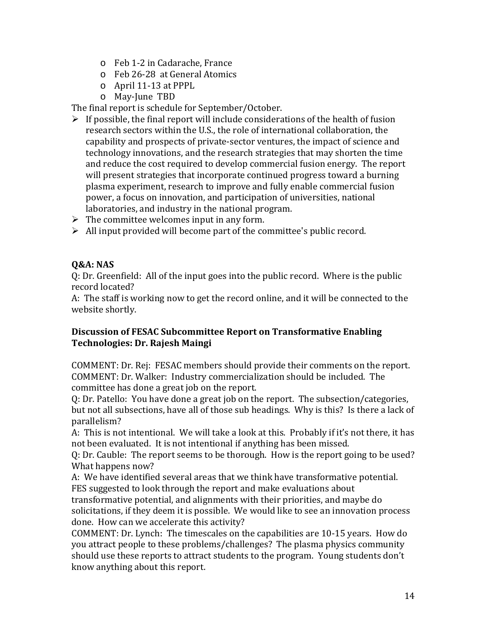- o Feb 1-2 in Cadarache, France
- o Feb 26-28 at General Atomics
- o April 11-13 at PPPL
- o May-June TBD

The final report is schedule for September/October.

- $\triangleright$  If possible, the final report will include considerations of the health of fusion research sectors within the U.S., the role of international collaboration, the capability and prospects of private-sector ventures, the impact of science and technology innovations, and the research strategies that may shorten the time and reduce the cost required to develop commercial fusion energy. The report will present strategies that incorporate continued progress toward a burning plasma experiment, research to improve and fully enable commercial fusion power, a focus on innovation, and participation of universities, national laboratories, and industry in the national program.
- $\triangleright$  The committee welcomes input in any form.
- $\triangleright$  All input provided will become part of the committee's public record.

### **Q&A: NAS**

Q: Dr. Greenfield: All of the input goes into the public record. Where is the public record located?

A: The staff is working now to get the record online, and it will be connected to the website shortly.

### **Discussion of FESAC Subcommittee Report on Transformative Enabling Technologies: Dr. Rajesh Maingi**

COMMENT: Dr. Rej: FESAC members should provide their comments on the report. COMMENT: Dr. Walker: Industry commercialization should be included. The committee has done a great job on the report.

Q: Dr. Patello: You have done a great job on the report. The subsection/categories, but not all subsections, have all of those sub headings. Why is this? Is there a lack of parallelism?

A: This is not intentional. We will take a look at this. Probably if it's not there, it has not been evaluated. It is not intentional if anything has been missed.

Q: Dr. Cauble: The report seems to be thorough. How is the report going to be used? What happens now?

A: We have identified several areas that we think have transformative potential. FES suggested to look through the report and make evaluations about

transformative potential, and alignments with their priorities, and maybe do solicitations, if they deem it is possible. We would like to see an innovation process done. How can we accelerate this activity?

COMMENT: Dr. Lynch: The timescales on the capabilities are 10-15 years. How do you attract people to these problems/challenges? The plasma physics community should use these reports to attract students to the program. Young students don't know anything about this report.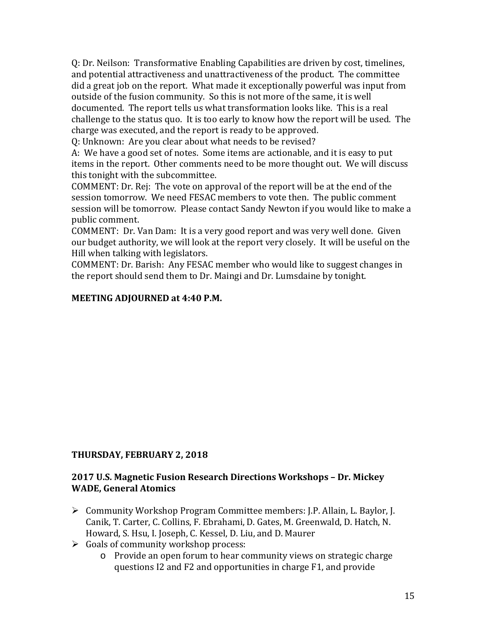Q: Dr. Neilson: Transformative Enabling Capabilities are driven by cost, timelines, and potential attractiveness and unattractiveness of the product. The committee did a great job on the report. What made it exceptionally powerful was input from outside of the fusion community. So this is not more of the same, it is well documented. The report tells us what transformation looks like. This is a real challenge to the status quo. It is too early to know how the report will be used. The charge was executed, and the report is ready to be approved.

Q: Unknown: Are you clear about what needs to be revised?

A: We have a good set of notes. Some items are actionable, and it is easy to put items in the report. Other comments need to be more thought out. We will discuss this tonight with the subcommittee.

COMMENT: Dr. Rej: The vote on approval of the report will be at the end of the session tomorrow. We need FESAC members to vote then. The public comment session will be tomorrow. Please contact Sandy Newton if you would like to make a public comment.

COMMENT: Dr. Van Dam: It is a very good report and was very well done. Given our budget authority, we will look at the report very closely. It will be useful on the Hill when talking with legislators.

COMMENT: Dr. Barish: Any FESAC member who would like to suggest changes in the report should send them to Dr. Maingi and Dr. Lumsdaine by tonight.

#### **MEETING ADJOURNED at 4:40 P.M.**

#### **THURSDAY, FEBRUARY 2, 2018**

#### **2017 U.S. Magnetic Fusion Research Directions Workshops – Dr. Mickey WADE, General Atomics**

- Community Workshop Program Committee members: J.P. Allain, L. Baylor, J. Canik, T. Carter, C. Collins, F. Ebrahami, D. Gates, M. Greenwald, D. Hatch, N. Howard, S. Hsu, I. Joseph, C. Kessel, D. Liu, and D. Maurer
- $\triangleright$  Goals of community workshop process:
	- o Provide an open forum to hear community views on strategic charge questions I2 and F2 and opportunities in charge F1, and provide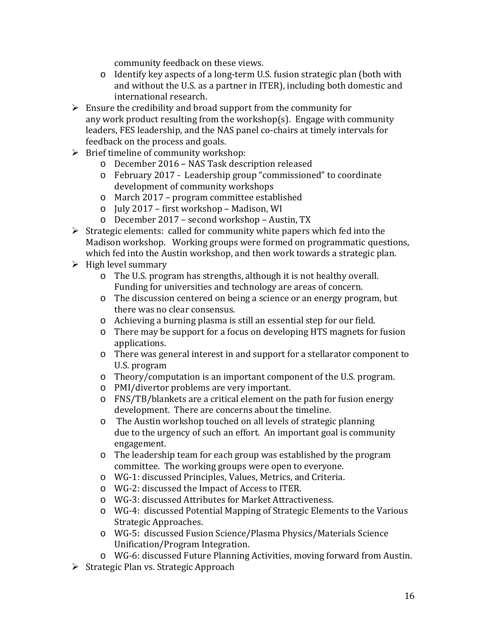community feedback on these views.

- o Identify key aspects of a long-term U.S. fusion strategic plan (both with and without the U.S. as a partner in ITER), including both domestic and international research.
- $\triangleright$  Ensure the credibility and broad support from the community for any work product resulting from the workshop(s). Engage with community leaders, FES leadership, and the NAS panel co-chairs at timely intervals for feedback on the process and goals.
- $\triangleright$  Brief timeline of community workshop:
	- o December 2016 NAS Task description released
	- o February 2017 Leadership group "commissioned" to coordinate development of community workshops
	- o March 2017 program committee established
	- o July 2017 first workshop Madison, WI
	- o December 2017 second workshop Austin, TX
- $\triangleright$  Strategic elements: called for community white papers which fed into the Madison workshop. Working groups were formed on programmatic questions, which fed into the Austin workshop, and then work towards a strategic plan.
- $\triangleright$  High level summary
	- o The U.S. program has strengths, although it is not healthy overall. Funding for universities and technology are areas of concern.
	- o The discussion centered on being a science or an energy program, but there was no clear consensus.
	- o Achieving a burning plasma is still an essential step for our field.
	- o There may be support for a focus on developing HTS magnets for fusion applications.
	- o There was general interest in and support for a stellarator component to U.S. program
	- o Theory/computation is an important component of the U.S. program.
	- o PMI/divertor problems are very important.
	- o FNS/TB/blankets are a critical element on the path for fusion energy development. There are concerns about the timeline.
	- o The Austin workshop touched on all levels of strategic planning due to the urgency of such an effort. An important goal is community engagement.
	- o The leadership team for each group was established by the program committee. The working groups were open to everyone.
	- o WG-1: discussed Principles, Values, Metrics, and Criteria.
	- o WG-2: discussed the Impact of Access to ITER.
	- o WG-3: discussed Attributes for Market Attractiveness.
	- o WG-4: discussed Potential Mapping of Strategic Elements to the Various Strategic Approaches.
	- o WG-5: discussed Fusion Science/Plasma Physics/Materials Science Unification/Program Integration.
	- o WG-6: discussed Future Planning Activities, moving forward from Austin.
- $\triangleright$  Strategic Plan vs. Strategic Approach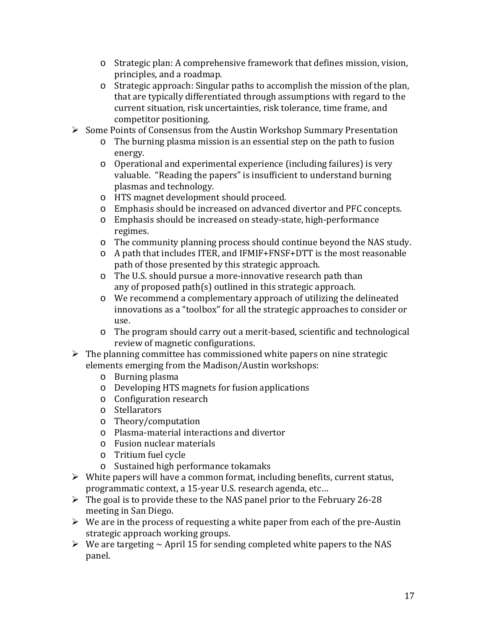- o Strategic plan: A comprehensive framework that defines mission, vision, principles, and a roadmap.
- o Strategic approach: Singular paths to accomplish the mission of the plan, that are typically differentiated through assumptions with regard to the current situation, risk uncertainties, risk tolerance, time frame, and competitor positioning.
- $\triangleright$  Some Points of Consensus from the Austin Workshop Summary Presentation
	- o The burning plasma mission is an essential step on the path to fusion energy.
	- o Operational and experimental experience (including failures) is very valuable. "Reading the papers" is insufficient to understand burning plasmas and technology.
	- o HTS magnet development should proceed.
	- o Emphasis should be increased on advanced divertor and PFC concepts.
	- o Emphasis should be increased on steady-state, high-performance regimes.
	- o The community planning process should continue beyond the NAS study.
	- o A path that includes ITER, and IFMIF+FNSF+DTT is the most reasonable path of those presented by this strategic approach.
	- o The U.S. should pursue a more-innovative research path than any of proposed path(s) outlined in this strategic approach.
	- o We recommend a complementary approach of utilizing the delineated innovations as a "toolbox" for all the strategic approaches to consider or use.
	- o The program should carry out a merit-based, scientific and technological review of magnetic configurations.
- $\triangleright$  The planning committee has commissioned white papers on nine strategic elements emerging from the Madison/Austin workshops:
	- o Burning plasma
	- o Developing HTS magnets for fusion applications
	- o Configuration research
	- o Stellarators
	- o Theory/computation
	- o Plasma-material interactions and divertor
	- o Fusion nuclear materials
	- o Tritium fuel cycle
	- o Sustained high performance tokamaks
- $\triangleright$  White papers will have a common format, including benefits, current status, programmatic context, a 15-year U.S. research agenda, etc…
- $\triangleright$  The goal is to provide these to the NAS panel prior to the February 26-28 meeting in San Diego.
- $\triangleright$  We are in the process of requesting a white paper from each of the pre-Austin strategic approach working groups.
- $\triangleright$  We are targeting  $\sim$  April 15 for sending completed white papers to the NAS panel.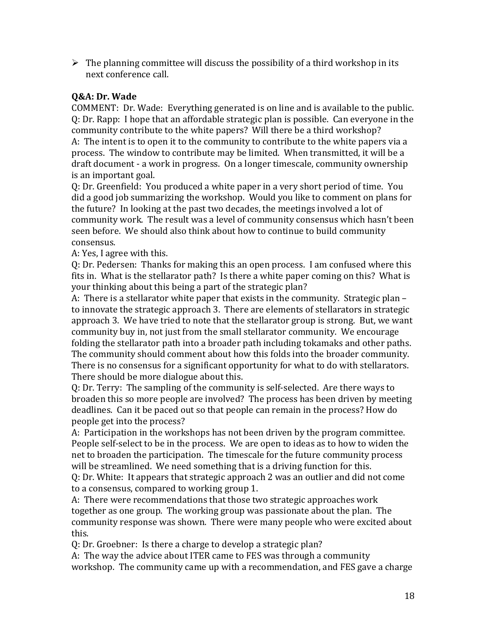$\triangleright$  The planning committee will discuss the possibility of a third workshop in its next conference call.

### **Q&A: Dr. Wade**

COMMENT: Dr. Wade: Everything generated is on line and is available to the public. Q: Dr. Rapp: I hope that an affordable strategic plan is possible. Can everyone in the community contribute to the white papers? Will there be a third workshop?

A: The intent is to open it to the community to contribute to the white papers via a process. The window to contribute may be limited. When transmitted, it will be a draft document - a work in progress. On a longer timescale, community ownership is an important goal.

Q: Dr. Greenfield: You produced a white paper in a very short period of time. You did a good job summarizing the workshop. Would you like to comment on plans for the future? In looking at the past two decades, the meetings involved a lot of community work. The result was a level of community consensus which hasn't been seen before. We should also think about how to continue to build community consensus.

A: Yes, I agree with this.

Q: Dr. Pedersen: Thanks for making this an open process. I am confused where this fits in. What is the stellarator path? Is there a white paper coming on this? What is your thinking about this being a part of the strategic plan?

A: There is a stellarator white paper that exists in the community. Strategic plan – to innovate the strategic approach 3. There are elements of stellarators in strategic approach 3. We have tried to note that the stellarator group is strong. But, we want community buy in, not just from the small stellarator community. We encourage folding the stellarator path into a broader path including tokamaks and other paths. The community should comment about how this folds into the broader community. There is no consensus for a significant opportunity for what to do with stellarators. There should be more dialogue about this.

Q: Dr. Terry: The sampling of the community is self-selected. Are there ways to broaden this so more people are involved? The process has been driven by meeting deadlines. Can it be paced out so that people can remain in the process? How do people get into the process?

A: Participation in the workshops has not been driven by the program committee. People self-select to be in the process. We are open to ideas as to how to widen the net to broaden the participation. The timescale for the future community process will be streamlined. We need something that is a driving function for this.

Q: Dr. White: It appears that strategic approach 2 was an outlier and did not come to a consensus, compared to working group 1.

A: There were recommendations that those two strategic approaches work together as one group. The working group was passionate about the plan. The community response was shown. There were many people who were excited about this.

Q: Dr. Groebner: Is there a charge to develop a strategic plan?

A: The way the advice about ITER came to FES was through a community workshop. The community came up with a recommendation, and FES gave a charge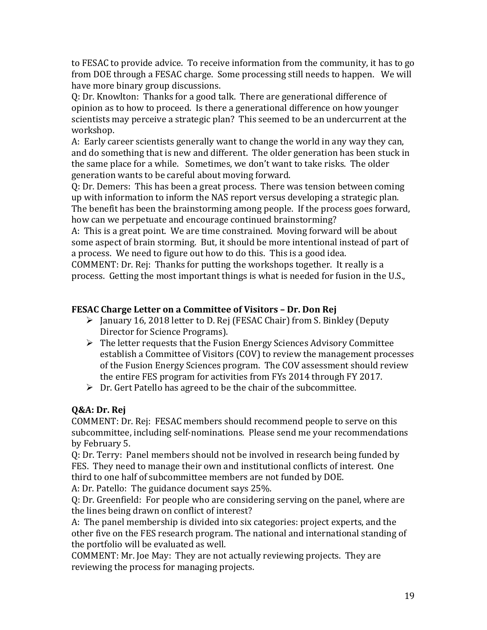to FESAC to provide advice. To receive information from the community, it has to go from DOE through a FESAC charge. Some processing still needs to happen. We will have more binary group discussions.

Q: Dr. Knowlton: Thanks for a good talk. There are generational difference of opinion as to how to proceed. Is there a generational difference on how younger scientists may perceive a strategic plan? This seemed to be an undercurrent at the workshop.

A: Early career scientists generally want to change the world in any way they can, and do something that is new and different. The older generation has been stuck in the same place for a while. Sometimes, we don't want to take risks. The older generation wants to be careful about moving forward.

Q: Dr. Demers: This has been a great process. There was tension between coming up with information to inform the NAS report versus developing a strategic plan. The benefit has been the brainstorming among people. If the process goes forward, how can we perpetuate and encourage continued brainstorming?

A: This is a great point. We are time constrained. Moving forward will be about some aspect of brain storming. But, it should be more intentional instead of part of a process. We need to figure out how to do this. This is a good idea.

COMMENT: Dr. Rej: Thanks for putting the workshops together. It really is a process. Getting the most important things is what is needed for fusion in the U.S.,

### **FESAC Charge Letter on a Committee of Visitors – Dr. Don Rej**

- $\triangleright$  January 16, 2018 letter to D. Rej (FESAC Chair) from S. Binkley (Deputy Director for Science Programs).
- $\triangleright$  The letter requests that the Fusion Energy Sciences Advisory Committee establish a Committee of Visitors (COV) to review the management processes of the Fusion Energy Sciences program. The COV assessment should review the entire FES program for activities from FYs 2014 through FY 2017.
- $\triangleright$  Dr. Gert Patello has agreed to be the chair of the subcommittee.

### **Q&A: Dr. Rej**

COMMENT: Dr. Rej: FESAC members should recommend people to serve on this subcommittee, including self-nominations. Please send me your recommendations by February 5.

Q: Dr. Terry: Panel members should not be involved in research being funded by FES. They need to manage their own and institutional conflicts of interest. One third to one half of subcommittee members are not funded by DOE.

A: Dr. Patello: The guidance document says 25%.

Q: Dr. Greenfield: For people who are considering serving on the panel, where are the lines being drawn on conflict of interest?

A: The panel membership is divided into six categories: project experts, and the other five on the FES research program. The national and international standing of the portfolio will be evaluated as well.

COMMENT: Mr. Joe May: They are not actually reviewing projects. They are reviewing the process for managing projects.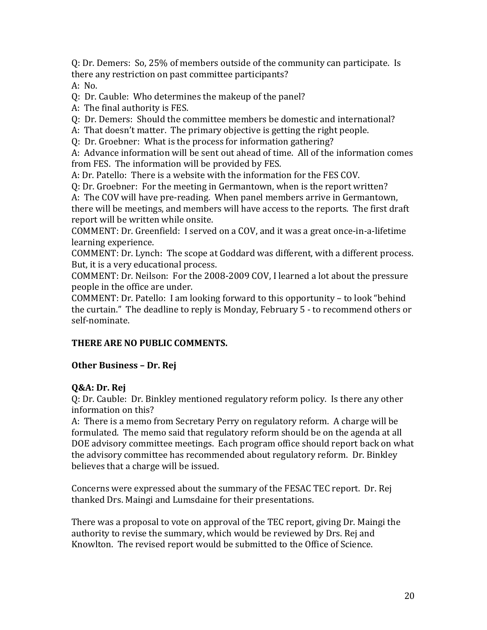Q: Dr. Demers: So, 25% of members outside of the community can participate. Is there any restriction on past committee participants?

A: No.

Q: Dr. Cauble: Who determines the makeup of the panel?

A: The final authority is FES.

Q: Dr. Demers: Should the committee members be domestic and international?

A: That doesn't matter. The primary objective is getting the right people.

Q: Dr. Groebner: What is the process for information gathering?

A: Advance information will be sent out ahead of time. All of the information comes from FES. The information will be provided by FES.

A: Dr. Patello: There is a website with the information for the FES COV.

Q: Dr. Groebner: For the meeting in Germantown, when is the report written?

A: The COV will have pre-reading. When panel members arrive in Germantown, there will be meetings, and members will have access to the reports. The first draft report will be written while onsite.

COMMENT: Dr. Greenfield: I served on a COV, and it was a great once-in-a-lifetime learning experience.

COMMENT: Dr. Lynch: The scope at Goddard was different, with a different process. But, it is a very educational process.

COMMENT: Dr. Neilson: For the 2008-2009 COV, I learned a lot about the pressure people in the office are under.

COMMENT: Dr. Patello: I am looking forward to this opportunity – to look "behind the curtain." The deadline to reply is Monday, February 5 - to recommend others or self-nominate.

#### **THERE ARE NO PUBLIC COMMENTS.**

#### **Other Business – Dr. Rej**

#### **Q&A: Dr. Rej**

Q: Dr. Cauble: Dr. Binkley mentioned regulatory reform policy. Is there any other information on this?

A: There is a memo from Secretary Perry on regulatory reform. A charge will be formulated. The memo said that regulatory reform should be on the agenda at all DOE advisory committee meetings. Each program office should report back on what the advisory committee has recommended about regulatory reform. Dr. Binkley believes that a charge will be issued.

Concerns were expressed about the summary of the FESAC TEC report. Dr. Rej thanked Drs. Maingi and Lumsdaine for their presentations.

There was a proposal to vote on approval of the TEC report, giving Dr. Maingi the authority to revise the summary, which would be reviewed by Drs. Rej and Knowlton. The revised report would be submitted to the Office of Science.